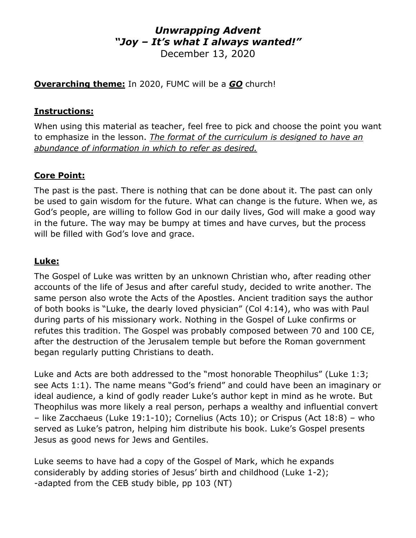## *Unwrapping Advent "Joy – It's what I always wanted!"* December 13, 2020

**Overarching theme:** In 2020, FUMC will be a *GO* church!

## **Instructions:**

When using this material as teacher, feel free to pick and choose the point you want to emphasize in the lesson. *The format of the curriculum is designed to have an abundance of information in which to refer as desired.*

## **Core Point:**

The past is the past. There is nothing that can be done about it. The past can only be used to gain wisdom for the future. What can change is the future. When we, as God's people, are willing to follow God in our daily lives, God will make a good way in the future. The way may be bumpy at times and have curves, but the process will be filled with God's love and grace.

#### **Luke:**

The Gospel of Luke was written by an unknown Christian who, after reading other accounts of the life of Jesus and after careful study, decided to write another. The same person also wrote the Acts of the Apostles. Ancient tradition says the author of both books is "Luke, the dearly loved physician" (Col 4:14), who was with Paul during parts of his missionary work. Nothing in the Gospel of Luke confirms or refutes this tradition. The Gospel was probably composed between 70 and 100 CE, after the destruction of the Jerusalem temple but before the Roman government began regularly putting Christians to death.

Luke and Acts are both addressed to the "most honorable Theophilus" (Luke 1:3; see Acts 1:1). The name means "God's friend" and could have been an imaginary or ideal audience, a kind of godly reader Luke's author kept in mind as he wrote. But Theophilus was more likely a real person, perhaps a wealthy and influential convert – like Zacchaeus (Luke 19:1-10); Cornelius (Acts 10); or Crispus (Act 18:8) – who served as Luke's patron, helping him distribute his book. Luke's Gospel presents Jesus as good news for Jews and Gentiles.

Luke seems to have had a copy of the Gospel of Mark, which he expands considerably by adding stories of Jesus' birth and childhood (Luke 1-2); -adapted from the CEB study bible, pp 103 (NT)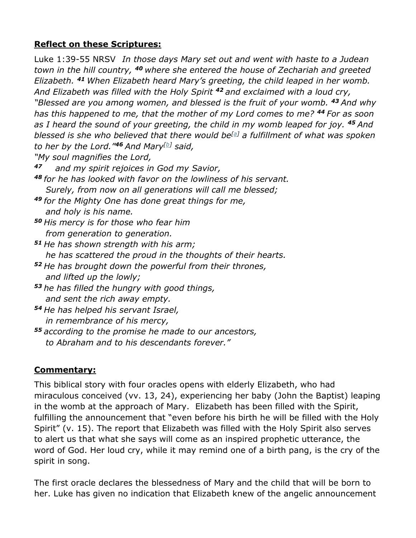## **Reflect on these Scriptures:**

Luke 1:39-55 NRSV*In those days Mary set out and went with haste to a Judean town in the hill country, <sup>40</sup> where she entered the house of Zechariah and greeted Elizabeth. <sup>41</sup> When Elizabeth heard Mary's greeting, the child leaped in her womb. And Elizabeth was filled with the Holy Spirit <sup>42</sup> and exclaimed with a loud cry, "Blessed are you among women, and blessed is the fruit of your womb. <sup>43</sup> And why has this happened to me, that the mother of my Lord comes to me? <sup>44</sup> For as soon as I heard the sound of your greeting, the child in my womb leaped for joy. <sup>45</sup> And blessed is she who believed that there would be[\[a\]](https://www.biblegateway.com/passage/?search=Luke+1%3A39-55+&version=NRSV;CEB;NIV;MSG;VOICE#fen-NRSV-24931a) a fulfillment of what was spoken to her by the Lord."<sup>46</sup> And Mary[\[b\]](https://www.biblegateway.com/passage/?search=Luke+1%3A39-55+&version=NRSV;CEB;NIV;MSG;VOICE#fen-NRSV-24932b) said, "My soul magnifies the Lord,*

- *<sup>47</sup> and my spirit rejoices in God my Savior,*
- *<sup>48</sup> for he has looked with favor on the lowliness of his servant. Surely, from now on all generations will call me blessed;*
- *<sup>49</sup> for the Mighty One has done great things for me, and holy is his name.*
- *<sup>50</sup> His mercy is for those who fear him from generation to generation.*
- *<sup>51</sup> He has shown strength with his arm; he has scattered the proud in the thoughts of their hearts.*
- *<sup>52</sup> He has brought down the powerful from their thrones, and lifted up the lowly;*
- *<sup>53</sup> he has filled the hungry with good things, and sent the rich away empty.*
- *<sup>54</sup> He has helped his servant Israel, in remembrance of his mercy,*
- *<sup>55</sup> according to the promise he made to our ancestors, to Abraham and to his descendants forever."*

## **Commentary:**

This biblical story with four oracles opens with elderly Elizabeth, who had miraculous conceived (vv. 13, 24), experiencing her baby (John the Baptist) leaping in the womb at the approach of Mary. Elizabeth has been filled with the Spirit, fulfilling the announcement that "even before his birth he will be filled with the Holy Spirit" (v. 15). The report that Elizabeth was filled with the Holy Spirit also serves to alert us that what she says will come as an inspired prophetic utterance, the word of God. Her loud cry, while it may remind one of a birth pang, is the cry of the spirit in song.

The first oracle declares the blessedness of Mary and the child that will be born to her. Luke has given no indication that Elizabeth knew of the angelic announcement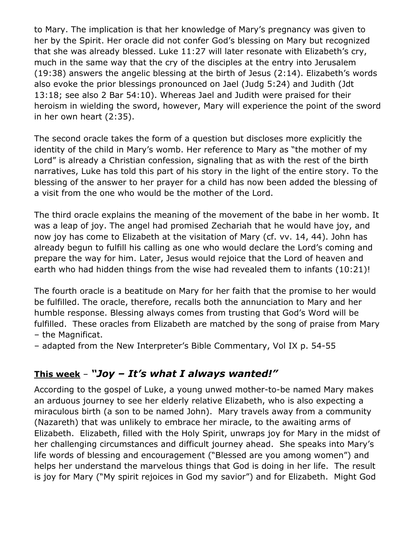to Mary. The implication is that her knowledge of Mary's pregnancy was given to her by the Spirit. Her oracle did not confer God's blessing on Mary but recognized that she was already blessed. Luke 11:27 will later resonate with Elizabeth's cry, much in the same way that the cry of the disciples at the entry into Jerusalem (19:38) answers the angelic blessing at the birth of Jesus (2:14). Elizabeth's words also evoke the prior blessings pronounced on Jael (Judg 5:24) and Judith (Jdt 13:18; see also 2 Bar 54:10). Whereas Jael and Judith were praised for their heroism in wielding the sword, however, Mary will experience the point of the sword in her own heart (2:35).

The second oracle takes the form of a question but discloses more explicitly the identity of the child in Mary's womb. Her reference to Mary as "the mother of my Lord" is already a Christian confession, signaling that as with the rest of the birth narratives, Luke has told this part of his story in the light of the entire story. To the blessing of the answer to her prayer for a child has now been added the blessing of a visit from the one who would be the mother of the Lord.

The third oracle explains the meaning of the movement of the babe in her womb. It was a leap of joy. The angel had promised Zechariah that he would have joy, and now joy has come to Elizabeth at the visitation of Mary (cf. vv. 14, 44). John has already begun to fulfill his calling as one who would declare the Lord's coming and prepare the way for him. Later, Jesus would rejoice that the Lord of heaven and earth who had hidden things from the wise had revealed them to infants (10:21)!

The fourth oracle is a beatitude on Mary for her faith that the promise to her would be fulfilled. The oracle, therefore, recalls both the annunciation to Mary and her humble response. Blessing always comes from trusting that God's Word will be fulfilled. These oracles from Elizabeth are matched by the song of praise from Mary – the Magnificat.

– adapted from the New Interpreter's Bible Commentary, Vol IX p. 54-55

# **This week** – *"Joy – It's what I always wanted!"*

According to the gospel of Luke, a young unwed mother-to-be named Mary makes an arduous journey to see her elderly relative Elizabeth, who is also expecting a miraculous birth (a son to be named John). Mary travels away from a community (Nazareth) that was unlikely to embrace her miracle, to the awaiting arms of Elizabeth. Elizabeth, filled with the Holy Spirit, unwraps joy for Mary in the midst of her challenging circumstances and difficult journey ahead. She speaks into Mary's life words of blessing and encouragement ("Blessed are you among women") and helps her understand the marvelous things that God is doing in her life. The result is joy for Mary ("My spirit rejoices in God my savior") and for Elizabeth. Might God